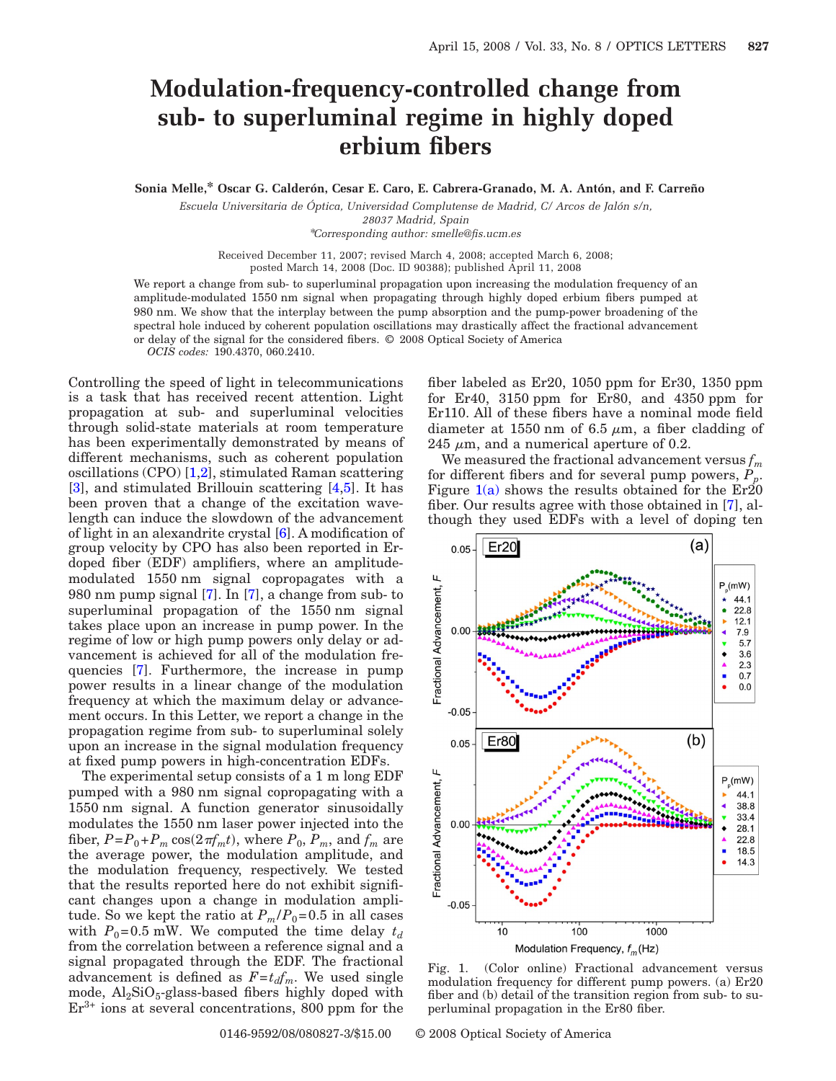## **Modulation-frequency-controlled change from sub- to superluminal regime in highly doped erbium fibers**

**Sonia Melle,\* Oscar G. Calderón, Cesar E. Caro, E. Cabrera-Granado, M. A. Antón, and F. Carreño**

*Escuela Universitaria de Óptica, Universidad Complutense de Madrid, C/ Arcos de Jalón s/n, 28037 Madrid, Spain* \**Corresponding author: smelle@fis.ucm.es*

Received December 11, 2007; revised March 4, 2008; accepted March 6, 2008; posted March 14, 2008 (Doc. ID 90388); published April 11, 2008

We report a change from sub- to superluminal propagation upon increasing the modulation frequency of an amplitude-modulated 1550 nm signal when propagating through highly doped erbium fibers pumped at 980 nm. We show that the interplay between the pump absorption and the pump-power broadening of the spectral hole induced by coherent population oscillations may drastically affect the fractional advancement or delay of the signal for the considered fibers. © 2008 Optical Society of America *OCIS codes:* 190.4370, 060.2410.

Controlling the speed of light in telecommunications is a task that has received recent attention. Light propagation at sub- and superluminal velocities through solid-state materials at room temperature has been experimentally demonstrated by means of different mechanisms, such as coherent population oscillations (CPO) [\[1,](#page-2-0)[2\]](#page-2-1), stimulated Raman scattering [\[3\]](#page-2-2), and stimulated Brillouin scattering [\[4,](#page-2-3)[5\]](#page-2-4). It has been proven that a change of the excitation wavelength can induce the slowdown of the advancement of light in an alexandrite crystal [\[6\]](#page-2-5). A modification of group velocity by CPO has also been reported in Erdoped fiber (EDF) amplifiers, where an amplitudemodulated 1550 nm signal copropagates with a 980 nm pump signal [\[7\]](#page-2-6). In [\[7\]](#page-2-6), a change from sub- to superluminal propagation of the 1550 nm signal takes place upon an increase in pump power. In the regime of low or high pump powers only delay or advancement is achieved for all of the modulation frequencies [\[7\]](#page-2-6). Furthermore, the increase in pump power results in a linear change of the modulation frequency at which the maximum delay or advancement occurs. In this Letter, we report a change in the propagation regime from sub- to superluminal solely upon an increase in the signal modulation frequency at fixed pump powers in high-concentration EDFs.

The experimental setup consists of a 1 m long EDF pumped with a 980 nm signal copropagating with a 1550 nm signal. A function generator sinusoidally modulates the 1550 nm laser power injected into the fiber,  $P = P_0 + P_m \cos(2\pi f_m t)$ , where  $P_0$ ,  $P_m$ , and  $f_m$  are the average power, the modulation amplitude, and the modulation frequency, respectively. We tested that the results reported here do not exhibit significant changes upon a change in modulation amplitude. So we kept the ratio at  $P_m/P_0=0.5$  in all cases with  $P_0=0.5$  mW. We computed the time delay  $t_d$ from the correlation between a reference signal and a signal propagated through the EDF. The fractional advancement is defined as  $F = t_d f_m$ . We used single mode,  $Al_2SiO_5$ -glass-based fibers highly doped with  $Er<sup>3+</sup>$  ions at several concentrations, 800 ppm for the fiber labeled as Er20, 1050 ppm for Er30, 1350 ppm for Er40, 3150 ppm for Er80, and 4350 ppm for Er110. All of these fibers have a nominal mode field diameter at 1550 nm of 6.5  $\mu$ m, a fiber cladding of 245  $\mu$ m, and a numerical aperture of 0.2.

We measured the fractional advancement versus  $f_m$ for different fibers and for several pump powers, P Figure  $1(a)$  shows the results obtained for the  $Er20$ fiber. Our results agree with those obtained in [\[7\]](#page-2-6), although they used EDFs with a level of doping ten

<span id="page-0-0"></span>

Fig. 1. (Color online) Fractional advancement versus modulation frequency for different pump powers. (a) Er20 fiber and (b) detail of the transition region from sub- to superluminal propagation in the Er80 fiber.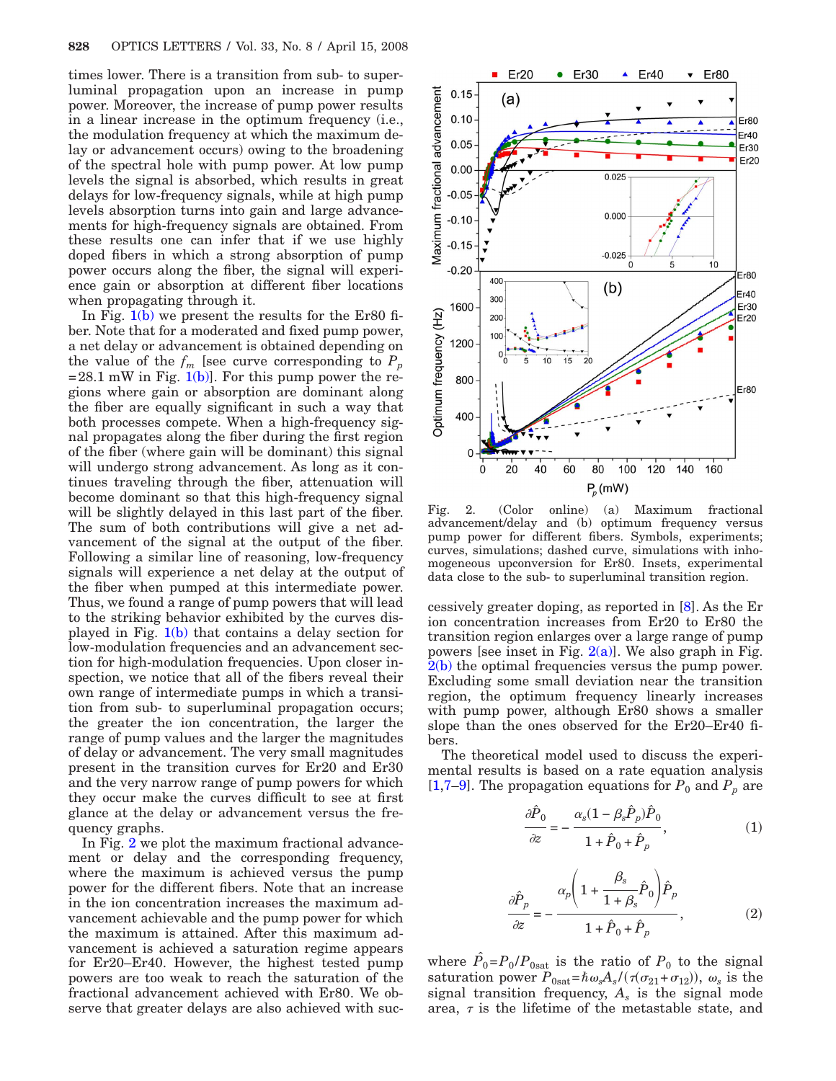times lower. There is a transition from sub- to superluminal propagation upon an increase in pump power. Moreover, the increase of pump power results in a linear increase in the optimum frequency (i.e., the modulation frequency at which the maximum delay or advancement occurs) owing to the broadening of the spectral hole with pump power. At low pump levels the signal is absorbed, which results in great delays for low-frequency signals, while at high pump levels absorption turns into gain and large advancements for high-frequency signals are obtained. From these results one can infer that if we use highly doped fibers in which a strong absorption of pump power occurs along the fiber, the signal will experience gain or absorption at different fiber locations when propagating through it.

In Fig.  $1(b)$  we present the results for the Er80 fiber. Note that for a moderated and fixed pump power, a net delay or advancement is obtained depending on the value of the  $f_m$  [see curve corresponding to  $P_p$  $=28.1$  mW in Fig. [1\(b\)\]](#page-0-0). For this pump power the regions where gain or absorption are dominant along the fiber are equally significant in such a way that both processes compete. When a high-frequency signal propagates along the fiber during the first region of the fiber (where gain will be dominant) this signal will undergo strong advancement. As long as it continues traveling through the fiber, attenuation will become dominant so that this high-frequency signal will be slightly delayed in this last part of the fiber. The sum of both contributions will give a net advancement of the signal at the output of the fiber. Following a similar line of reasoning, low-frequency signals will experience a net delay at the output of the fiber when pumped at this intermediate power. Thus, we found a range of pump powers that will lead to the striking behavior exhibited by the curves displayed in Fig. [1\(b\)](#page-0-0) that contains a delay section for low-modulation frequencies and an advancement section for high-modulation frequencies. Upon closer inspection, we notice that all of the fibers reveal their own range of intermediate pumps in which a transition from sub- to superluminal propagation occurs; the greater the ion concentration, the larger the range of pump values and the larger the magnitudes of delay or advancement. The very small magnitudes present in the transition curves for Er20 and Er30 and the very narrow range of pump powers for which they occur make the curves difficult to see at first glance at the delay or advancement versus the frequency graphs.

In Fig. [2](#page-1-0) we plot the maximum fractional advancement or delay and the corresponding frequency, where the maximum is achieved versus the pump power for the different fibers. Note that an increase in the ion concentration increases the maximum advancement achievable and the pump power for which the maximum is attained. After this maximum advancement is achieved a saturation regime appears for Er20–Er40. However, the highest tested pump powers are too weak to reach the saturation of the fractional advancement achieved with Er80. We observe that greater delays are also achieved with suc-

<span id="page-1-0"></span>

Fig. 2. (Color online) (a) Maximum fractional advancement/delay and (b) optimum frequency versus pump power for different fibers. Symbols, experiments; curves, simulations; dashed curve, simulations with inhomogeneous upconversion for Er80. Insets, experimental data close to the sub- to superluminal transition region.

cessively greater doping, as reported in [\[8\]](#page-2-7). As the Er ion concentration increases from Er20 to Er80 the transition region enlarges over a large range of pump powers [see inset in Fig.  $2(a)$ ]. We also graph in Fig. [2\(b\)](#page-1-0) the optimal frequencies versus the pump power. Excluding some small deviation near the transition region, the optimum frequency linearly increases with pump power, although Er80 shows a smaller slope than the ones observed for the Er20–Er40 fibers.

<span id="page-1-1"></span>The theoretical model used to discuss the experimental results is based on a rate equation analysis  $[1,7-9]$  $[1,7-9]$  $[1,7-9]$ . The propagation equations for  $P_0$  and  $P_p$  are

$$
\frac{\partial \hat{P}_0}{\partial z} = -\frac{\alpha_s (1 - \beta_s \hat{P}_p) \hat{P}_0}{1 + \hat{P}_0 + \hat{P}_p},\tag{1}
$$

$$
\frac{\partial \hat{P}_p}{\partial z} = -\frac{\alpha_p \left(1 + \frac{\beta_s}{1 + \beta_s} \hat{P}_0\right) \hat{P}_p}{1 + \hat{P}_0 + \hat{P}_p},\tag{2}
$$

where  $\hat{P}_0 = P_0 / P_{0 \text{sat}}$  is the ratio of  $P_0$  to the signal saturation power  $P_{0\text{sat}} = \hbar \omega_s A_s / (\tau (\sigma_{21} + \sigma_{12}))$ ,  $\omega_s$  is the signal transition frequency,  $A_s$  is the signal mode area,  $\tau$  is the lifetime of the metastable state, and